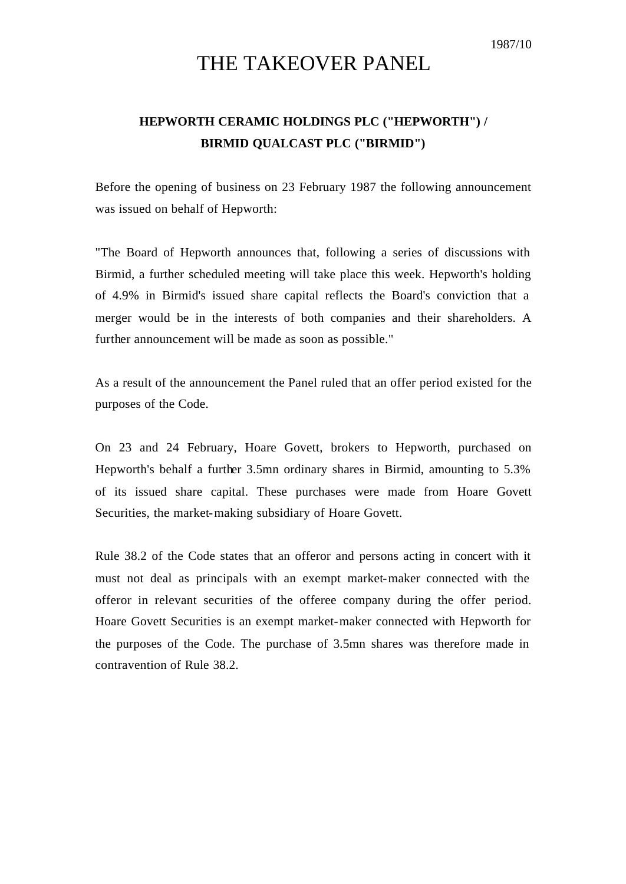## THE TAKEOVER PANEL

## **HEPWORTH CERAMIC HOLDINGS PLC ("HEPWORTH") / BIRMID QUALCAST PLC ("BIRMID")**

Before the opening of business on 23 February 1987 the following announcement was issued on behalf of Hepworth:

"The Board of Hepworth announces that, following a series of discussions with Birmid, a further scheduled meeting will take place this week. Hepworth's holding of 4.9% in Birmid's issued share capital reflects the Board's conviction that a merger would be in the interests of both companies and their shareholders. A further announcement will be made as soon as possible."

As a result of the announcement the Panel ruled that an offer period existed for the purposes of the Code.

On 23 and 24 February, Hoare Govett, brokers to Hepworth, purchased on Hepworth's behalf a further 3.5mn ordinary shares in Birmid, amounting to 5.3% of its issued share capital. These purchases were made from Hoare Govett Securities, the market-making subsidiary of Hoare Govett.

Rule 38.2 of the Code states that an offeror and persons acting in concert with it must not deal as principals with an exempt market-maker connected with the offeror in relevant securities of the offeree company during the offer period. Hoare Govett Securities is an exempt market-maker connected with Hepworth for the purposes of the Code. The purchase of 3.5mn shares was therefore made in contravention of Rule 38.2.